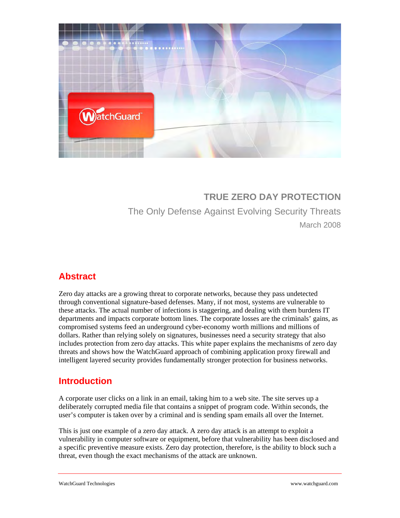

# **TRUE ZERO DAY PROTECTION**  The Only Defense Against Evolving Security Threats March 2008

# **Abstract**

Zero day attacks are a growing threat to corporate networks, because they pass undetected through conventional signature-based defenses. Many, if not most, systems are vulnerable to these attacks. The actual number of infections is staggering, and dealing with them burdens IT departments and impacts corporate bottom lines. The corporate losses are the criminals' gains, as compromised systems feed an underground cyber-economy worth millions and millions of dollars. Rather than relying solely on signatures, businesses need a security strategy that also includes protection from zero day attacks. This white paper explains the mechanisms of zero day threats and shows how the WatchGuard approach of combining application proxy firewall and intelligent layered security provides fundamentally stronger protection for business networks.

# **Introduction**

A corporate user clicks on a link in an email, taking him to a web site. The site serves up a deliberately corrupted media file that contains a snippet of program code. Within seconds, the user's computer is taken over by a criminal and is sending spam emails all over the Internet.

This is just one example of a zero day attack. A zero day attack is an attempt to exploit a vulnerability in computer software or equipment, before that vulnerability has been disclosed and a specific preventive measure exists. Zero day protection, therefore, is the ability to block such a threat, even though the exact mechanisms of the attack are unknown.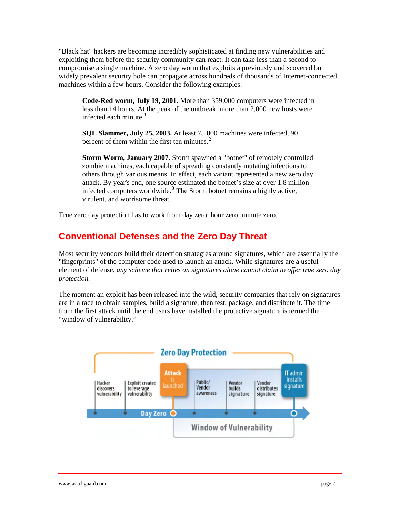"Black hat" hackers are becoming incredibly sophisticated at finding new vulnerabilities and exploiting them before the security community can react. It can take less than a second to compromise a single machine. A zero day worm that exploits a previously undiscovered but widely prevalent security hole can propagate across hundreds of thousands of Internet-connected machines within a few hours. Consider the following examples:

**Code-Red worm, July 19, 2001.** More than 359,000 computers were infected in less than 14 hours. At the peak of the outbreak, more than 2,000 new hosts were infected each minute. $<sup>1</sup>$  $<sup>1</sup>$  $<sup>1</sup>$ </sup>

**SQL Slammer, July 25, 2003.** At least 75,000 machines were infected, 90 percent of them within the first ten minutes. $2^2$  $2^2$ 

**Storm Worm, January 2007.** Storm spawned a "botnet" of remotely controlled zombie machines, each capable of spreading constantly mutating infections to others through various means. In effect, each variant represented a new zero day attack. By year's end, one source estimated the botnet's size at over 1.8 million infected computers worldwide.<sup>[3](#page-9-1)</sup> The Storm botnet remains a highly active, virulent, and worrisome threat.

True zero day protection has to work from day zero, hour zero, minute zero.

## **Conventional Defenses and the Zero Day Threat**

Most security vendors build their detection strategies around signatures, which are essentially the "fingerprints" of the computer code used to launch an attack. While signatures are a useful element of defense, *any scheme that relies on signatures alone cannot claim to offer true zero day protection.* 

The moment an exploit has been released into the wild, security companies that rely on signatures are in a race to obtain samples, build a signature, then test, package, and distribute it. The time from the first attack until the end users have installed the protective signature is termed the "window of vulnerability."

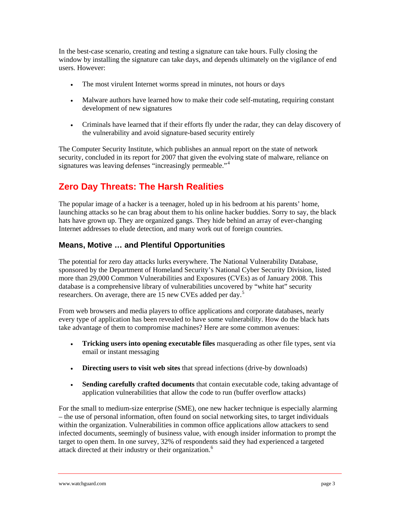In the best-case scenario, creating and testing a signature can take hours. Fully closing the window by installing the signature can take days, and depends ultimately on the vigilance of end users. However:

- The most virulent Internet worms spread in minutes, not hours or days
- Malware authors have learned how to make their code self-mutating, requiring constant development of new signatures
- Criminals have learned that if their efforts fly under the radar, they can delay discovery of the vulnerability and avoid signature-based security entirely

The Computer Security Institute, which publishes an annual report on the state of network security, concluded in its report for 2007 that given the evolving state of malware, reliance on signatures was leaving defenses "increasingly permeable."<sup>[4](#page-9-1)</sup>

# **Zero Day Threats: The Harsh Realities**

The popular image of a hacker is a teenager, holed up in his bedroom at his parents' home, launching attacks so he can brag about them to his online hacker buddies. Sorry to say, the black hats have grown up. They are organized gangs. They hide behind an array of ever-changing Internet addresses to elude detection, and many work out of foreign countries.

### **Means, Motive … and Plentiful Opportunities**

The potential for zero day attacks lurks everywhere. The National Vulnerability Database, sponsored by the Department of Homeland Security's National Cyber Security Division, listed more than 29,000 Common Vulnerabilities and Exposures (CVEs) as of January 2008. This database is a comprehensive library of vulnerabilities uncovered by "white hat" security researchers. On average, there are 1[5](#page-9-1) new CVEs added per day.<sup>5</sup>

From web browsers and media players to office applications and corporate databases, nearly every type of application has been revealed to have some vulnerability. How do the black hats take advantage of them to compromise machines? Here are some common avenues:

- **Tricking users into opening executable files** masquerading as other file types, sent via email or instant messaging
- **Directing users to visit web sites** that spread infections (drive-by downloads)
- **Sending carefully crafted documents** that contain executable code, taking advantage of application vulnerabilities that allow the code to run (buffer overflow attacks)

For the small to medium-size enterprise (SME), one new hacker technique is especially alarming – the use of personal information, often found on social networking sites, to target individuals within the organization. Vulnerabilities in common office applications allow attackers to send infected documents, seemingly of business value, with enough insider information to prompt the target to open them. In one survey, 32% of respondents said they had experienced a targeted attack directed at their industry or their organization.[6](#page-9-1)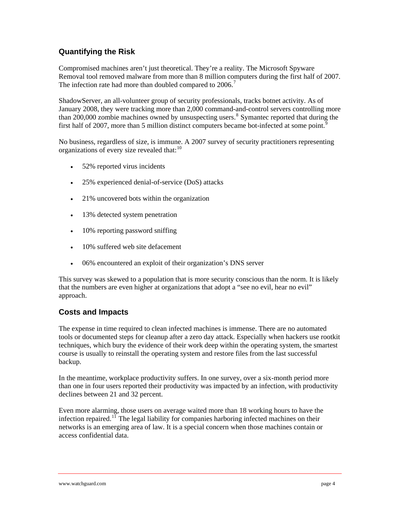### **Quantifying the Risk**

Compromised machines aren't just theoretical. They're a reality. The Microsoft Spyware Removal tool removed malware from more than 8 million computers during the first half of 2007. The infection rate had more than doubled compared to  $2006$ .<sup>[7](#page-9-1)</sup>

ShadowServer, an all-volunteer group of security professionals, tracks botnet activity. As of January 2008, they were tracking more than 2,000 command-and-control servers controlling more than 200,000 zombie machines owned by unsuspecting users.<sup>[8](#page-9-1)</sup> Symantec reported that during the first half of 2007, more than 5 million distinct computers became bot-infected at some point.<sup>[9](#page-9-1)</sup>

No business, regardless of size, is immune. A 2007 survey of security practitioners representing organizations of every size revealed that:<sup>[10](#page-9-1)</sup>

- 52% reported virus incidents
- 25% experienced denial-of-service (DoS) attacks
- 21% uncovered bots within the organization
- 13% detected system penetration
- 10% reporting password sniffing
- 10% suffered web site defacement
- 06% encountered an exploit of their organization's DNS server

This survey was skewed to a population that is more security conscious than the norm. It is likely that the numbers are even higher at organizations that adopt a "see no evil, hear no evil" approach.

### **Costs and Impacts**

The expense in time required to clean infected machines is immense. There are no automated tools or documented steps for cleanup after a zero day attack. Especially when hackers use rootkit techniques, which bury the evidence of their work deep within the operating system, the smartest course is usually to reinstall the operating system and restore files from the last successful backup.

In the meantime, workplace productivity suffers. In one survey, over a six-month period more than one in four users reported their productivity was impacted by an infection, with productivity declines between 21 and 32 percent.

Even more alarming, those users on average waited more than 18 working hours to have the infection repaired.<sup>[11](#page-9-1)</sup> The legal liability for companies harboring infected machines on their networks is an emerging area of law. It is a special concern when those machines contain or access confidential data.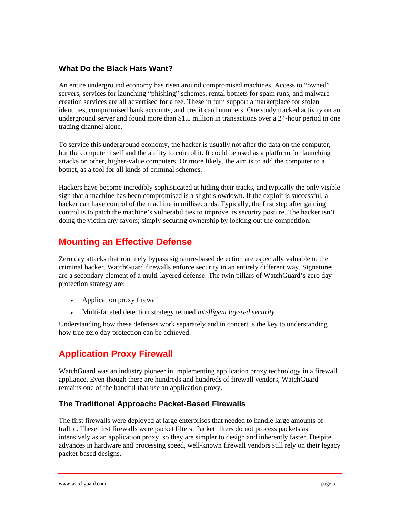#### **What Do the Black Hats Want?**

An entire underground economy has risen around compromised machines. Access to "owned" servers, services for launching "phishing" schemes, rental botnets for spam runs, and malware creation services are all advertised for a fee. These in turn support a marketplace for stolen identities, compromised bank accounts, and credit card numbers. One study tracked activity on an underground server and found more than \$1.5 million in transactions over a 24-hour period in one trading channel alone.

To service this underground economy, the hacker is usually not after the data on the computer, but the computer itself and the ability to control it. It could be used as a platform for launching attacks on other, higher-value computers. Or more likely, the aim is to add the computer to a botnet, as a tool for all kinds of criminal schemes.

Hackers have become incredibly sophisticated at hiding their tracks, and typically the only visible sign that a machine has been compromised is a slight slowdown. If the exploit is successful, a hacker can have control of the machine in milliseconds. Typically, the first step after gaining control is to patch the machine's vulnerabilities to improve its security posture. The hacker isn't doing the victim any favors; simply securing ownership by locking out the competition.

### **Mounting an Effective Defense**

Zero day attacks that routinely bypass signature-based detection are especially valuable to the criminal hacker. WatchGuard firewalls enforce security in an entirely different way. Signatures are a secondary element of a multi-layered defense. The twin pillars of WatchGuard's zero day protection strategy are:

- Application proxy firewall
- Multi-faceted detection strategy termed *intelligent layered security*

Understanding how these defenses work separately and in concert is the key to understanding how true zero day protection can be achieved.

# **Application Proxy Firewall**

WatchGuard was an industry pioneer in implementing application proxy technology in a firewall appliance. Even though there are hundreds and hundreds of firewall vendors, WatchGuard remains one of the handful that use an application proxy.

### **The Traditional Approach: Packet-Based Firewalls**

The first firewalls were deployed at large enterprises that needed to handle large amounts of traffic. These first firewalls were packet filters. Packet filters do not process packets as intensively as an application proxy, so they are simpler to design and inherently faster. Despite advances in hardware and processing speed, well-known firewall vendors still rely on their legacy packet-based designs.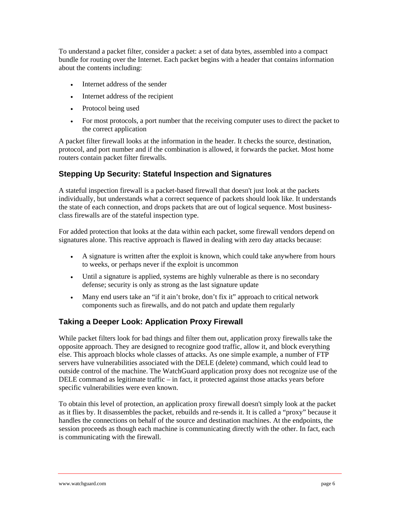To understand a packet filter, consider a packet: a set of data bytes, assembled into a compact bundle for routing over the Internet. Each packet begins with a header that contains information about the contents including:

- Internet address of the sender
- Internet address of the recipient
- Protocol being used
- For most protocols, a port number that the receiving computer uses to direct the packet to the correct application

A packet filter firewall looks at the information in the header. It checks the source, destination, protocol, and port number and if the combination is allowed, it forwards the packet. Most home routers contain packet filter firewalls.

### **Stepping Up Security: Stateful Inspection and Signatures**

A stateful inspection firewall is a packet-based firewall that doesn't just look at the packets individually, but understands what a correct sequence of packets should look like. It understands the state of each connection, and drops packets that are out of logical sequence. Most businessclass firewalls are of the stateful inspection type.

For added protection that looks at the data within each packet, some firewall vendors depend on signatures alone. This reactive approach is flawed in dealing with zero day attacks because:

- A signature is written after the exploit is known, which could take anywhere from hours to weeks, or perhaps never if the exploit is uncommon
- Until a signature is applied, systems are highly vulnerable as there is no secondary defense; security is only as strong as the last signature update
- Many end users take an "if it ain't broke, don't fix it" approach to critical network components such as firewalls, and do not patch and update them regularly

### **Taking a Deeper Look: Application Proxy Firewall**

While packet filters look for bad things and filter them out, application proxy firewalls take the opposite approach. They are designed to recognize good traffic, allow it, and block everything else. This approach blocks whole classes of attacks. As one simple example, a number of FTP servers have vulnerabilities associated with the DELE (delete) command, which could lead to outside control of the machine. The WatchGuard application proxy does not recognize use of the DELE command as legitimate traffic – in fact, it protected against those attacks years before specific vulnerabilities were even known.

To obtain this level of protection, an application proxy firewall doesn't simply look at the packet as it flies by. It disassembles the packet, rebuilds and re-sends it. It is called a "proxy" because it handles the connections on behalf of the source and destination machines. At the endpoints, the session proceeds as though each machine is communicating directly with the other. In fact, each is communicating with the firewall.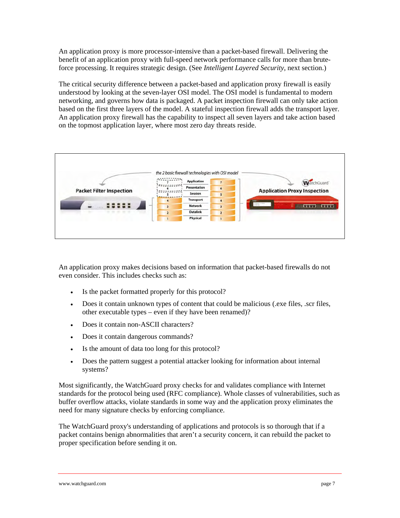An application proxy is more processor-intensive than a packet-based firewall. Delivering the benefit of an application proxy with full-speed network performance calls for more than bruteforce processing. It requires strategic design. (See *Intelligent Layered Security*, next section.)

The critical security difference between a packet-based and application proxy firewall is easily understood by looking at the seven-layer OSI model. The OSI model is fundamental to modern networking, and governs how data is packaged. A packet inspection firewall can only take action based on the first three layers of the model. A stateful inspection firewall adds the transport layer. An application proxy firewall has the capability to inspect all seven layers and take action based on the topmost application layer, where most zero day threats reside.



An application proxy makes decisions based on information that packet-based firewalls do not even consider. This includes checks such as:

- Is the packet formatted properly for this protocol?
- Does it contain unknown types of content that could be malicious (.exe files, .scr files, other executable types – even if they have been renamed)?
- Does it contain non-ASCII characters?
- Does it contain dangerous commands?
- Is the amount of data too long for this protocol?
- Does the pattern suggest a potential attacker looking for information about internal systems?

Most significantly, the WatchGuard proxy checks for and validates compliance with Internet standards for the protocol being used (RFC compliance). Whole classes of vulnerabilities, such as buffer overflow attacks, violate standards in some way and the application proxy eliminates the need for many signature checks by enforcing compliance.

The WatchGuard proxy's understanding of applications and protocols is so thorough that if a packet contains benign abnormalities that aren't a security concern, it can rebuild the packet to proper specification before sending it on.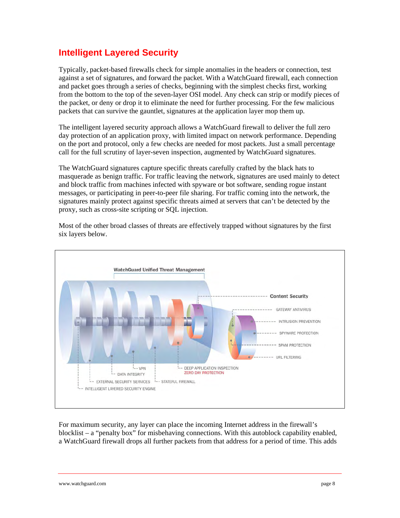## **Intelligent Layered Security**

Typically, packet-based firewalls check for simple anomalies in the headers or connection, test against a set of signatures, and forward the packet. With a WatchGuard firewall, each connection and packet goes through a series of checks, beginning with the simplest checks first, working from the bottom to the top of the seven-layer OSI model. Any check can strip or modify pieces of the packet, or deny or drop it to eliminate the need for further processing. For the few malicious packets that can survive the gauntlet, signatures at the application layer mop them up.

The intelligent layered security approach allows a WatchGuard firewall to deliver the full zero day protection of an application proxy, with limited impact on network performance. Depending on the port and protocol, only a few checks are needed for most packets. Just a small percentage call for the full scrutiny of layer-seven inspection, augmented by WatchGuard signatures.

The WatchGuard signatures capture specific threats carefully crafted by the black hats to masquerade as benign traffic. For traffic leaving the network, signatures are used mainly to detect and block traffic from machines infected with spyware or bot software, sending rogue instant messages, or participating in peer-to-peer file sharing. For traffic coming into the network, the signatures mainly protect against specific threats aimed at servers that can't be detected by the proxy, such as cross-site scripting or SQL injection.

Most of the other broad classes of threats are effectively trapped without signatures by the first six layers below.



For maximum security, any layer can place the incoming Internet address in the firewall's blocklist – a "penalty box" for misbehaving connections. With this autoblock capability enabled, a WatchGuard firewall drops all further packets from that address for a period of time. This adds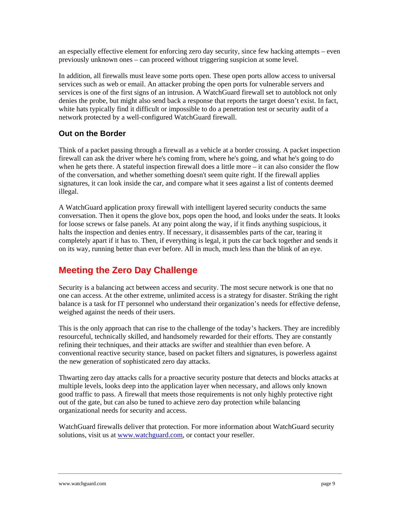an especially effective element for enforcing zero day security, since few hacking attempts – even previously unknown ones – can proceed without triggering suspicion at some level.

In addition, all firewalls must leave some ports open. These open ports allow access to universal services such as web or email. An attacker probing the open ports for vulnerable servers and services is one of the first signs of an intrusion. A WatchGuard firewall set to autoblock not only denies the probe, but might also send back a response that reports the target doesn't exist. In fact, white hats typically find it difficult or impossible to do a penetration test or security audit of a network protected by a well-configured WatchGuard firewall.

#### **Out on the Border**

Think of a packet passing through a firewall as a vehicle at a border crossing. A packet inspection firewall can ask the driver where he's coming from, where he's going, and what he's going to do when he gets there. A stateful inspection firewall does a little more  $-$  it can also consider the flow of the conversation, and whether something doesn't seem quite right. If the firewall applies signatures, it can look inside the car, and compare what it sees against a list of contents deemed illegal.

A WatchGuard application proxy firewall with intelligent layered security conducts the same conversation. Then it opens the glove box, pops open the hood, and looks under the seats. It looks for loose screws or false panels. At any point along the way, if it finds anything suspicious, it halts the inspection and denies entry. If necessary, it disassembles parts of the car, tearing it completely apart if it has to. Then, if everything is legal, it puts the car back together and sends it on its way, running better than ever before. All in much, much less than the blink of an eye.

### **Meeting the Zero Day Challenge**

Security is a balancing act between access and security. The most secure network is one that no one can access. At the other extreme, unlimited access is a strategy for disaster. Striking the right balance is a task for IT personnel who understand their organization's needs for effective defense, weighed against the needs of their users.

This is the only approach that can rise to the challenge of the today's hackers. They are incredibly resourceful, technically skilled, and handsomely rewarded for their efforts. They are constantly refining their techniques, and their attacks are swifter and stealthier than even before. A conventional reactive security stance, based on packet filters and signatures, is powerless against the new generation of sophisticated zero day attacks.

Thwarting zero day attacks calls for a proactive security posture that detects and blocks attacks at multiple levels, looks deep into the application layer when necessary, and allows only known good traffic to pass. A firewall that meets those requirements is not only highly protective right out of the gate, but can also be tuned to achieve zero day protection while balancing organizational needs for security and access.

WatchGuard firewalls deliver that protection. For more information about WatchGuard security solutions, visit us at [www.watchguard.com,](http://www.watchguard.com/) or contact your reseller.